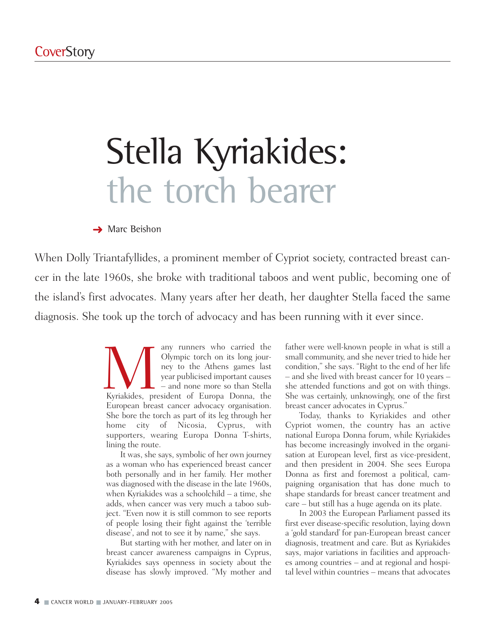# Stella Kyriakides: the torch bearer

#### **→ Marc Beishon**

When Dolly Triantafyllides, a prominent member of Cypriot society, contracted breast cancer in the late 1960s, she broke with traditional taboos and went public, becoming one of the island's first advocates. Many years after her death, her daughter Stella faced the same diagnosis. She took up the torch of advocacy and has been running with it ever since.

> Many runners who carried the<br>
> Olympic torch on its long jour-<br>
> ney to the Athens games last<br>
> year publicised important causes<br>
> – and none more so than Stella<br>
> Kyriakides, president of Europa Donna, the Olympic torch on its long journey to the Athens games last year publicised important causes – and none more so than Stella European breast cancer advocacy organisation. She bore the torch as part of its leg through her home city of Nicosia, Cyprus, with supporters, wearing Europa Donna T-shirts, lining the route.

It was, she says, symbolic of her own journey as a woman who has experienced breast cancer both personally and in her family. Her mother was diagnosed with the disease in the late 1960s, when Kyriakides was a schoolchild – a time, she adds, when cancer was very much a taboo subject. "Even now it is still common to see reports of people losing their fight against the 'terrible disease', and not to see it by name," she says.

But starting with her mother, and later on in breast cancer awareness campaigns in Cyprus, Kyriakides says openness in society about the disease has slowly improved. "My mother and father were well-known people in what is still a small community, and she never tried to hide her condition," she says. "Right to the end of her life – and she lived with breast cancer for 10 years – she attended functions and got on with things. She was certainly, unknowingly, one of the first breast cancer advocates in Cyprus."

Today, thanks to Kyriakides and other Cypriot women, the country has an active national Europa Donna forum, while Kyriakides has become increasingly involved in the organisation at European level, first as vice-president, and then president in 2004. She sees Europa Donna as first and foremost a political, campaigning organisation that has done much to shape standards for breast cancer treatment and care – but still has a huge agenda on its plate.

In 2003 the European Parliament passed its first ever disease-specific resolution, laying down a 'gold standard' for pan-European breast cancer diagnosis, treatment and care. But as Kyriakides says, major variations in facilities and approaches among countries – and at regional and hospital level within countries – means that advocates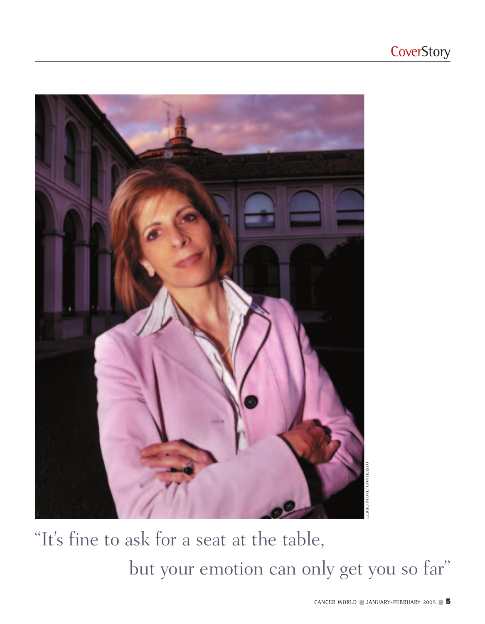

"It's fine to ask for a seat at the table, but your emotion can only get you so far"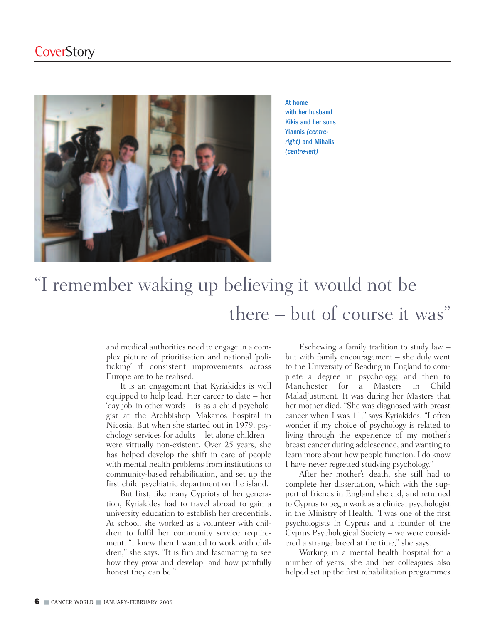

At home with her husband Kikis and her sons Yiannis *(centreright)* and Mihalis *(centre-left)*

# "I remember waking up believing it would not be there – but of course it was"

and medical authorities need to engage in a complex picture of prioritisation and national 'politicking' if consistent improvements across Europe are to be realised.

It is an engagement that Kyriakides is well equipped to help lead. Her career to date – her 'day job' in other words – is as a child psychologist at the Archbishop Makarios hospital in Nicosia. But when she started out in 1979, psychology services for adults – let alone children – were virtually non-existent. Over 25 years, she has helped develop the shift in care of people with mental health problems from institutions to community-based rehabilitation, and set up the first child psychiatric department on the island.

But first, like many Cypriots of her generation, Kyriakides had to travel abroad to gain a university education to establish her credentials. At school, she worked as a volunteer with children to fulfil her community service requirement. "I knew then I wanted to work with children," she says. "It is fun and fascinating to see how they grow and develop, and how painfully honest they can be."

Eschewing a family tradition to study law – but with family encouragement – she duly went to the University of Reading in England to complete a degree in psychology, and then to Manchester for a Masters in Child Maladjustment. It was during her Masters that her mother died. "She was diagnosed with breast cancer when I was 11," says Kyriakides. "I often wonder if my choice of psychology is related to living through the experience of my mother's breast cancer during adolescence, and wanting to learn more about how people function. I do know I have never regretted studying psychology."

After her mother's death, she still had to complete her dissertation, which with the support of friends in England she did, and returned to Cyprus to begin work as a clinical psychologist in the Ministry of Health. "I was one of the first psychologists in Cyprus and a founder of the Cyprus Psychological Society – we were considered a strange breed at the time," she says.

Working in a mental health hospital for a number of years, she and her colleagues also helped set up the first rehabilitation programmes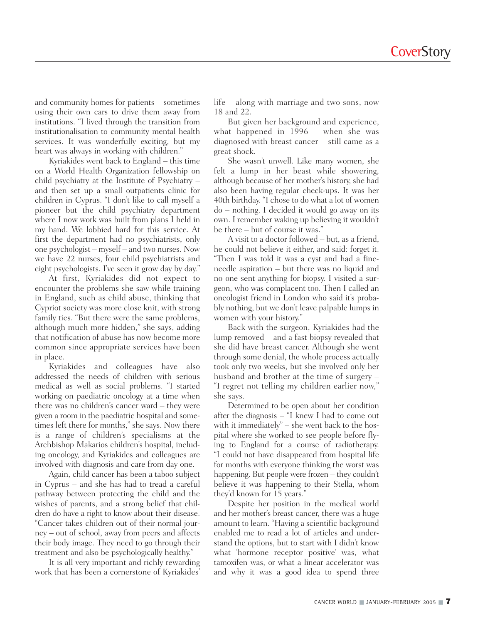and community homes for patients – sometimes using their own cars to drive them away from institutions. "I lived through the transition from institutionalisation to community mental health services. It was wonderfully exciting, but my heart was always in working with children."

Kyriakides went back to England – this time on a World Health Organization fellowship on child psychiatry at the Institute of Psychiatry – and then set up a small outpatients clinic for children in Cyprus. "I don't like to call myself a pioneer but the child psychiatry department where I now work was built from plans I held in my hand. We lobbied hard for this service. At first the department had no psychiatrists, only one psychologist – myself – and two nurses. Now we have 22 nurses, four child psychiatrists and eight psychologists. I've seen it grow day by day."

At first, Kyriakides did not expect to encounter the problems she saw while training in England, such as child abuse, thinking that Cypriot society was more close knit, with strong family ties. "But there were the same problems, although much more hidden," she says, adding that notification of abuse has now become more common since appropriate services have been in place.

Kyriakides and colleagues have also addressed the needs of children with serious medical as well as social problems. "I started working on paediatric oncology at a time when there was no children's cancer ward – they were given a room in the paediatric hospital and sometimes left there for months," she says. Now there is a range of children's specialisms at the Archbishop Makarios children's hospital, including oncology, and Kyriakides and colleagues are involved with diagnosis and care from day one.

Again, child cancer has been a taboo subject in Cyprus – and she has had to tread a careful pathway between protecting the child and the wishes of parents, and a strong belief that children do have a right to know about their disease. "Cancer takes children out of their normal journey – out of school, away from peers and affects their body image. They need to go through their treatment and also be psychologically healthy."

It is all very important and richly rewarding work that has been a cornerstone of Kyriakides'

life – along with marriage and two sons, now 18 and 22.

But given her background and experience, what happened in 1996 – when she was diagnosed with breast cancer – still came as a great shock.

She wasn't unwell. Like many women, she felt a lump in her beast while showering, although because of her mother's history, she had also been having regular check-ups. It was her 40th birthday. "I chose to do what a lot of women do – nothing. I decided it would go away on its own. I remember waking up believing it wouldn't be there – but of course it was."

A visit to a doctor followed – but, as a friend, he could not believe it either, and said: forget it. "Then I was told it was a cyst and had a fineneedle aspiration – but there was no liquid and no one sent anything for biopsy. I visited a surgeon, who was complacent too. Then I called an oncologist friend in London who said it's probably nothing, but we don't leave palpable lumps in women with your history."

Back with the surgeon, Kyriakides had the lump removed – and a fast biopsy revealed that she did have breast cancer. Although she went through some denial, the whole process actually took only two weeks, but she involved only her husband and brother at the time of surgery – "I regret not telling my children earlier now," she says.

Determined to be open about her condition after the diagnosis – "I knew I had to come out with it immediately" – she went back to the hospital where she worked to see people before flying to England for a course of radiotherapy. "I could not have disappeared from hospital life for months with everyone thinking the worst was happening. But people were frozen – they couldn't believe it was happening to their Stella, whom they'd known for 15 years."

Despite her position in the medical world and her mother's breast cancer, there was a huge amount to learn. "Having a scientific background enabled me to read a lot of articles and understand the options, but to start with I didn't know what 'hormone receptor positive' was, what tamoxifen was, or what a linear accelerator was and why it was a good idea to spend three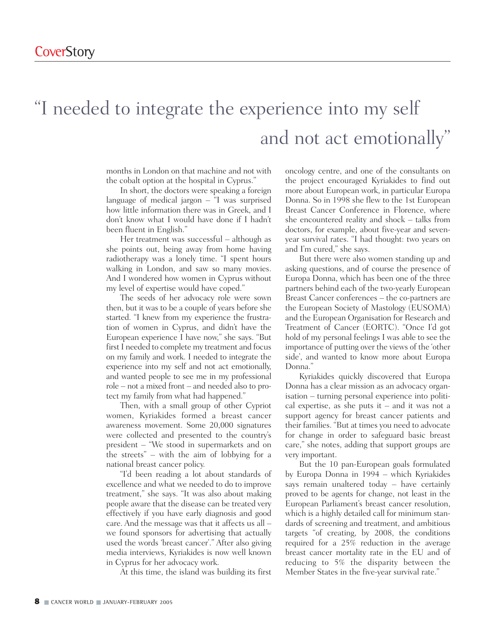# "I needed to integrate the experience into my self and not act emotionally"

months in London on that machine and not with the cobalt option at the hospital in Cyprus."

In short, the doctors were speaking a foreign language of medical jargon – "I was surprised how little information there was in Greek, and I don't know what I would have done if I hadn't been fluent in English."

Her treatment was successful – although as she points out, being away from home having radiotherapy was a lonely time. "I spent hours walking in London, and saw so many movies. And I wondered how women in Cyprus without my level of expertise would have coped."

The seeds of her advocacy role were sown then, but it was to be a couple of years before she started. "I knew from my experience the frustration of women in Cyprus, and didn't have the European experience I have now," she says. "But first I needed to complete my treatment and focus on my family and work. I needed to integrate the experience into my self and not act emotionally, and wanted people to see me in my professional role – not a mixed front – and needed also to protect my family from what had happened."

Then, with a small group of other Cypriot women, Kyriakides formed a breast cancer awareness movement. Some 20,000 signatures were collected and presented to the country's president – "We stood in supermarkets and on the streets" – with the aim of lobbying for a national breast cancer policy.

"I'd been reading a lot about standards of excellence and what we needed to do to improve treatment," she says. "It was also about making people aware that the disease can be treated very effectively if you have early diagnosis and good care. And the message was that it affects us all – we found sponsors for advertising that actually used the words 'breast cancer'." After also giving media interviews, Kyriakides is now well known in Cyprus for her advocacy work.

At this time, the island was building its first

oncology centre, and one of the consultants on the project encouraged Kyriakides to find out more about European work, in particular Europa Donna. So in 1998 she flew to the 1st European Breast Cancer Conference in Florence, where she encountered reality and shock – talks from doctors, for example, about five-year and sevenyear survival rates. "I had thought: two years on and I'm cured," she says.

But there were also women standing up and asking questions, and of course the presence of Europa Donna, which has been one of the three partners behind each of the two-yearly European Breast Cancer conferences – the co-partners are the European Society of Mastology (EUSOMA) and the European Organisation for Research and Treatment of Cancer (EORTC). "Once I'd got hold of my personal feelings I was able to see the importance of putting over the views of the 'other side', and wanted to know more about Europa Donna."

Kyriakides quickly discovered that Europa Donna has a clear mission as an advocacy organisation – turning personal experience into political expertise, as she puts it – and it was not a support agency for breast cancer patients and their families. "But at times you need to advocate for change in order to safeguard basic breast care," she notes, adding that support groups are very important.

But the 10 pan-European goals formulated by Europa Donna in 1994 – which Kyriakides says remain unaltered today – have certainly proved to be agents for change, not least in the European Parliament's breast cancer resolution, which is a highly detailed call for minimum standards of screening and treatment, and ambitious targets "of creating, by 2008, the conditions required for a 25% reduction in the average breast cancer mortality rate in the EU and of reducing to 5% the disparity between the Member States in the five-year survival rate."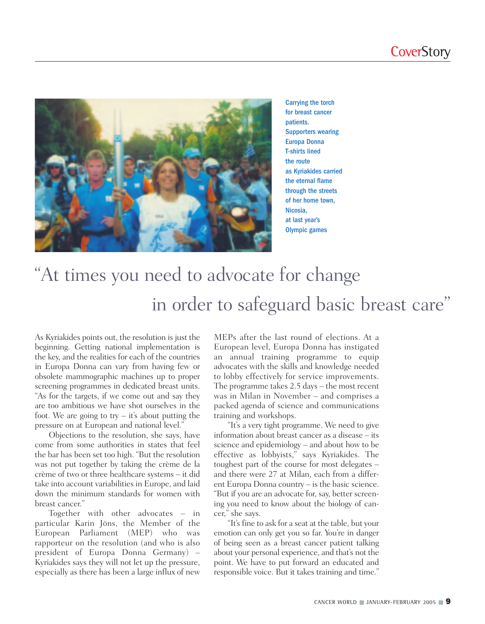

Carrying the torch for breast cancer patients. Supporters wearing Europa Donna T-shirts lined the route as Kyriakides carried the eternal flame through the streets of her home town, Nicosia, at last year's Olympic games

# "At times you need to advocate for change in order to safeguard basic breast care"

As Kyriakides points out, the resolution is just the beginning. Getting national implementation is the key, and the realities for each of the countries in Europa Donna can vary from having few or obsolete mammographic machines up to proper screening programmes in dedicated breast units. "As for the targets, if we come out and say they are too ambitious we have shot ourselves in the foot. We are going to  $try - it's$  about putting the pressure on at European and national level."

Objections to the resolution, she says, have come from some authorities in states that feel the bar has been set too high. "But the resolution was not put together by taking the crème de la crème of two or three healthcare systems – it did take into account variabilities in Europe, and laid down the minimum standards for women with breast cancer."

Together with other advocates – in particular Karin Jöns, the Member of the European Parliament (MEP) who was rapporteur on the resolution (and who is also president of Europa Donna Germany) – Kyriakides says they will not let up the pressure, especially as there has been a large influx of new

MEPs after the last round of elections. At a European level, Europa Donna has instigated an annual training programme to equip advocates with the skills and knowledge needed to lobby effectively for service improvements. The programme takes 2.5 days – the most recent was in Milan in November – and comprises a packed agenda of science and communications training and workshops.

"It's a very tight programme. We need to give information about breast cancer as a disease – its science and epidemiology – and about how to be effective as lobbyists," says Kyriakides. The toughest part of the course for most delegates – and there were 27 at Milan, each from a different Europa Donna country – is the basic science. "But if you are an advocate for, say, better screening you need to know about the biology of cancer," she says.

"It's fine to ask for a seat at the table, but your emotion can only get you so far. You're in danger of being seen as a breast cancer patient talking about your personal experience, and that's not the point. We have to put forward an educated and responsible voice. But it takes training and time."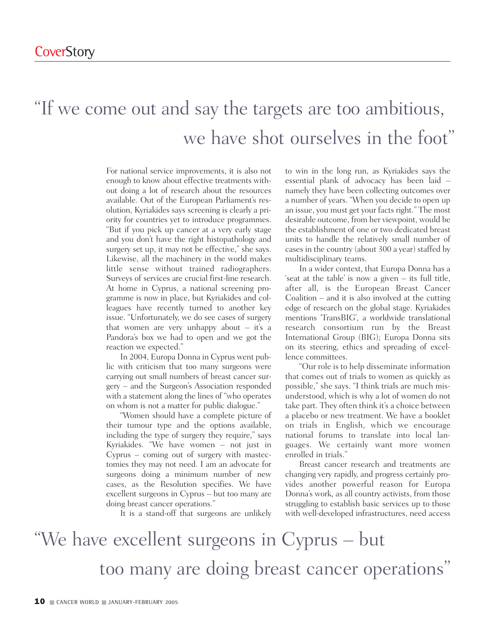### "If we come out and say the targets are too ambitious, we have shot ourselves in the foot"

For national service improvements, it is also not enough to know about effective treatments without doing a lot of research about the resources available. Out of the European Parliament's resolution, Kyriakides says screening is clearly a priority for countries yet to introduce programmes. "But if you pick up cancer at a very early stage and you don't have the right histopathology and surgery set up, it may not be effective," she says. Likewise, all the machinery in the world makes little sense without trained radiographers. Surveys of services are crucial first-line research. At home in Cyprus, a national screening programme is now in place, but Kyriakides and colleagues have recently turned to another key issue. "Unfortunately, we do see cases of surgery that women are very unhappy about – it's a Pandora's box we had to open and we got the reaction we expected."

In 2004, Europa Donna in Cyprus went public with criticism that too many surgeons were carrying out small numbers of breast cancer surgery – and the Surgeon's Association responded with a statement along the lines of "who operates on whom is not a matter for public dialogue."

"Women should have a complete picture of their tumour type and the options available, including the type of surgery they require," says Kyriakides. "We have women – not just in Cyprus – coming out of surgery with mastectomies they may not need. I am an advocate for surgeons doing a minimum number of new cases, as the Resolution specifies. We have excellent surgeons in Cyprus – but too many are doing breast cancer operations."

It is a stand-off that surgeons are unlikely

to win in the long run, as Kyriakides says the essential plank of advocacy has been laid – namely they have been collecting outcomes over a number of years. "When you decide to open up an issue, you must get your facts right." The most desirable outcome, from her viewpoint, would be the establishment of one or two dedicated breast units to handle the relatively small number of cases in the country (about 300 a year) staffed by multidisciplinary teams.

In a wider context, that Europa Donna has a 'seat at the table' is now a given – its full title, after all, is the European Breast Cancer Coalition – and it is also involved at the cutting edge of research on the global stage. Kyriakides mentions 'TransBIG', a worldwide translational research consortium run by the Breast International Group (BIG); Europa Donna sits on its steering, ethics and spreading of excellence committees.

"Our role is to help disseminate information that comes out of trials to women as quickly as possible," she says. "I think trials are much misunderstood, which is why a lot of women do not take part. They often think it's a choice between a placebo or new treatment. We have a booklet on trials in English, which we encourage national forums to translate into local languages. We certainly want more women enrolled in trials."

Breast cancer research and treatments are changing very rapidly, and progress certainly provides another powerful reason for Europa Donna's work, as all country activists, from those struggling to establish basic services up to those with well-developed infrastructures, need access

## "We have excellent surgeons in Cyprus – but too many are doing breast cancer operations"